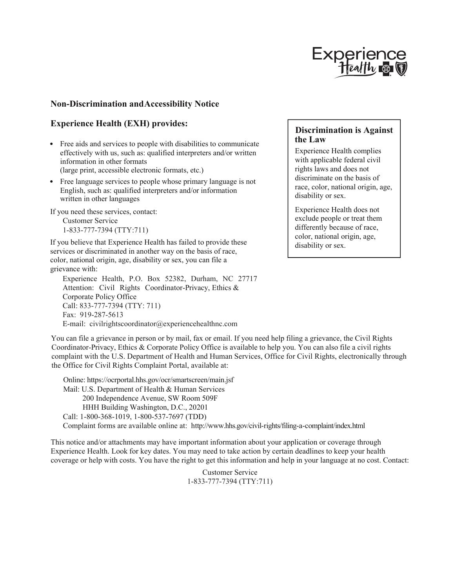

## **Non-Discrimination andAccessibility Notice**

## **Experience Health (EXH) provides:**

- Free aids and services to people with disabilities to communicate effectively with us, such as: qualified interpreters and/or written information in other formats (large print, accessible electronic formats, etc.)
- Free language services to people whose primary language is not English, such as: qualified interpreters and/or information written in other languages

If you need these services, contact: Customer Service

1-833-777-7394 (TTY:711)

If you believe that Experience Health has failed to provide these services or discriminated in another way on the basis of race, color, national origin, age, disability or sex, you can file a grievance with:

Experience Health, P.O. Box 52382, Durham, NC 27717 Attention: Civil Rights Coordinator-Privacy, Ethics & Corporate Policy Office Call: 833-777-7394 (TTY: 711) Fax: 919-287-5613 E-mail: civilrightscoordinator@experiencehealthnc.com

## **Discrimination is Against the Law**

Experience Health complies with applicable federal civil rights laws and does not discriminate on the basis of race, color, national origin, age, disability or sex.

Experience Health does not exclude people or treat them differently because of race, color, national origin, age, disability or sex.

You can file a grievance in person or by mail, fax or email. If you need help filing a grievance, the Civil Rights Coordinator-Privacy, Ethics & Corporate Policy Office is available to help you. You can also file a civil rights complaint with the U.S. Department of Health and Human Services, Office for Civil Rights, electronically through the Office for Civil Rights Complaint Portal, available at:

Online: https://ocrportal.hhs.gov/ocr/smartscreen/main.jsf Mail: U.S. Department of Health & Human Services 200 Independence Avenue, SW Room 509F HHH Building Washington, D.C., 20201 Call: 1-800-368-1019, 1-800-537-7697 (TDD) Complaint forms are available online at: http://www.hhs.gov/civil-rights/filing-a-complaint/index.html

This notice and/or attachments may have important information about your application or coverage through Experience Health. Look for key dates. You may need to take action by certain deadlines to keep your health coverage or help with costs. You have the right to get this information and help in your language at no cost. Contact:

> Customer Service 1-833-777-7394 (TTY:711)